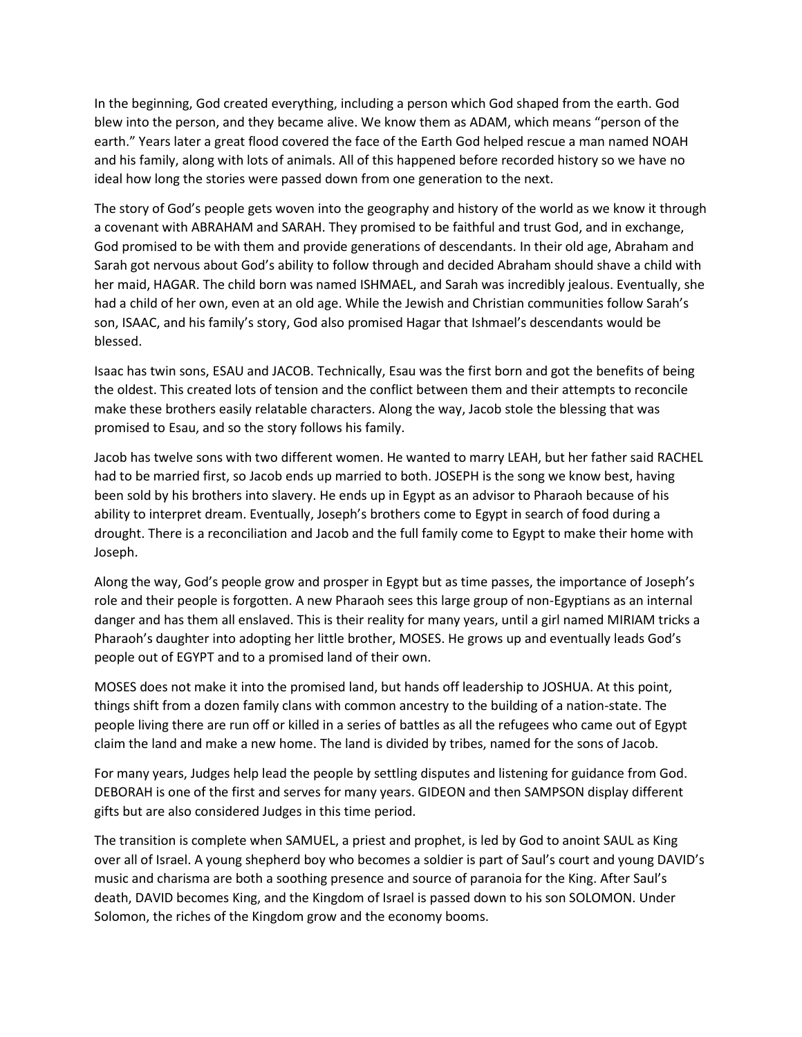In the beginning, God created everything, including a person which God shaped from the earth. God blew into the person, and they became alive. We know them as ADAM, which means "person of the earth." Years later a great flood covered the face of the Earth God helped rescue a man named NOAH and his family, along with lots of animals. All of this happened before recorded history so we have no ideal how long the stories were passed down from one generation to the next.

The story of God's people gets woven into the geography and history of the world as we know it through a covenant with ABRAHAM and SARAH. They promised to be faithful and trust God, and in exchange, God promised to be with them and provide generations of descendants. In their old age, Abraham and Sarah got nervous about God's ability to follow through and decided Abraham should shave a child with her maid, HAGAR. The child born was named ISHMAEL, and Sarah was incredibly jealous. Eventually, she had a child of her own, even at an old age. While the Jewish and Christian communities follow Sarah's son, ISAAC, and his family's story, God also promised Hagar that Ishmael's descendants would be blessed.

Isaac has twin sons, ESAU and JACOB. Technically, Esau was the first born and got the benefits of being the oldest. This created lots of tension and the conflict between them and their attempts to reconcile make these brothers easily relatable characters. Along the way, Jacob stole the blessing that was promised to Esau, and so the story follows his family.

Jacob has twelve sons with two different women. He wanted to marry LEAH, but her father said RACHEL had to be married first, so Jacob ends up married to both. JOSEPH is the song we know best, having been sold by his brothers into slavery. He ends up in Egypt as an advisor to Pharaoh because of his ability to interpret dream. Eventually, Joseph's brothers come to Egypt in search of food during a drought. There is a reconciliation and Jacob and the full family come to Egypt to make their home with Joseph.

Along the way, God's people grow and prosper in Egypt but as time passes, the importance of Joseph's role and their people is forgotten. A new Pharaoh sees this large group of non-Egyptians as an internal danger and has them all enslaved. This is their reality for many years, until a girl named MIRIAM tricks a Pharaoh's daughter into adopting her little brother, MOSES. He grows up and eventually leads God's people out of EGYPT and to a promised land of their own.

MOSES does not make it into the promised land, but hands off leadership to JOSHUA. At this point, things shift from a dozen family clans with common ancestry to the building of a nation-state. The people living there are run off or killed in a series of battles as all the refugees who came out of Egypt claim the land and make a new home. The land is divided by tribes, named for the sons of Jacob.

For many years, Judges help lead the people by settling disputes and listening for guidance from God. DEBORAH is one of the first and serves for many years. GIDEON and then SAMPSON display different gifts but are also considered Judges in this time period.

The transition is complete when SAMUEL, a priest and prophet, is led by God to anoint SAUL as King over all of Israel. A young shepherd boy who becomes a soldier is part of Saul's court and young DAVID's music and charisma are both a soothing presence and source of paranoia for the King. After Saul's death, DAVID becomes King, and the Kingdom of Israel is passed down to his son SOLOMON. Under Solomon, the riches of the Kingdom grow and the economy booms.